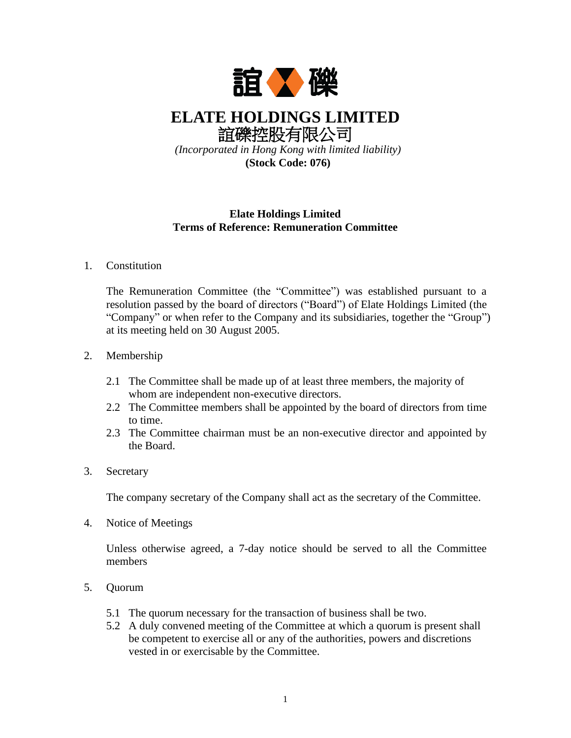

**ELATE HOLDINGS LIMITED** 誼礫控股有限公司

*(Incorporated in Hong Kong with limited liability)* **(Stock Code: 076)**

## **Elate Holdings Limited Terms of Reference: Remuneration Committee**

# 1. Constitution

The Remuneration Committee (the "Committee") was established pursuant to a resolution passed by the board of directors ("Board") of Elate Holdings Limited (the "Company" or when refer to the Company and its subsidiaries, together the "Group") at its meeting held on 30 August 2005.

# 2. Membership

- 2.1 The Committee shall be made up of at least three members, the majority of whom are independent non-executive directors.
- 2.2 The Committee members shall be appointed by the board of directors from time to time.
- 2.3 The Committee chairman must be an non-executive director and appointed by the Board.

### 3. Secretary

The company secretary of the Company shall act as the secretary of the Committee.

4. Notice of Meetings

Unless otherwise agreed, a 7-day notice should be served to all the Committee members

- 5. Quorum
	- 5.1 The quorum necessary for the transaction of business shall be two.
	- 5.2 A duly convened meeting of the Committee at which a quorum is present shall be competent to exercise all or any of the authorities, powers and discretions vested in or exercisable by the Committee.